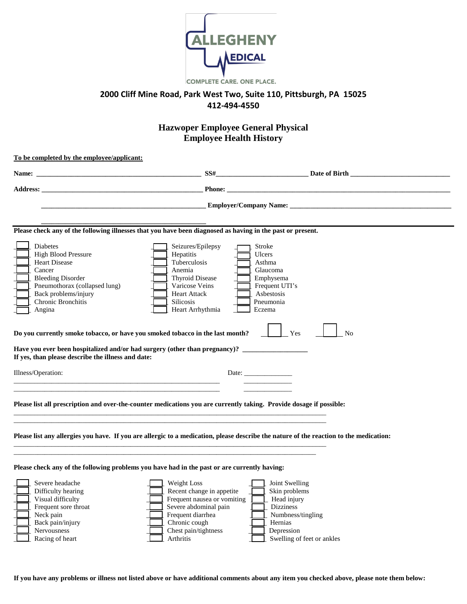

## **2000 Cliff Mine Road, Park West Two, Suite 110, Pittsburgh, PA 15025 412-494-4550**

## **Hazwoper Employee General Physical Employee Health History**

| To be completed by the employee/applicant:                                                                                                                                                                                                                                                                                                                                                                                                                    |                                                                                                                                                                             |                                                                                                                                                |  |  |  |  |
|---------------------------------------------------------------------------------------------------------------------------------------------------------------------------------------------------------------------------------------------------------------------------------------------------------------------------------------------------------------------------------------------------------------------------------------------------------------|-----------------------------------------------------------------------------------------------------------------------------------------------------------------------------|------------------------------------------------------------------------------------------------------------------------------------------------|--|--|--|--|
|                                                                                                                                                                                                                                                                                                                                                                                                                                                               |                                                                                                                                                                             |                                                                                                                                                |  |  |  |  |
| <b>Address:</b>                                                                                                                                                                                                                                                                                                                                                                                                                                               | <b>Phone:</b>                                                                                                                                                               |                                                                                                                                                |  |  |  |  |
|                                                                                                                                                                                                                                                                                                                                                                                                                                                               |                                                                                                                                                                             | <b>Employer/Company Name:</b>                                                                                                                  |  |  |  |  |
| Please check any of the following illnesses that you have been diagnosed as having in the past or present.                                                                                                                                                                                                                                                                                                                                                    |                                                                                                                                                                             |                                                                                                                                                |  |  |  |  |
| <b>Diabetes</b><br><b>High Blood Pressure</b><br><b>Heart Disease</b><br>Cancer<br><b>Bleeding Disorder</b><br>Pneumothorax (collapsed lung)<br>Back problems/injury<br>Chronic Bronchitis<br>Angina<br>Do you currently smoke tobacco, or have you smoked tobacco in the last month?<br>Have you ever been hospitalized and/or had surgery (other than pregnancy)? ___________________________________<br>If yes, than please describe the illness and date: | Seizures/Epilepsy<br>Hepatitis<br>Tuberculosis<br>Anemia<br>Thyroid Disease<br>Varicose Veins<br><b>Heart Attack</b><br><b>Silicosis</b><br>Heart Arrhythmia                | Stroke<br>Ulcers<br>Asthma<br>Glaucoma<br>Emphysema<br>Frequent UTI's<br>Asbestosis<br>Pneumonia<br>Eczema<br>Yes<br>N <sub>o</sub>            |  |  |  |  |
| Illness/Operation:                                                                                                                                                                                                                                                                                                                                                                                                                                            |                                                                                                                                                                             | Date: $\frac{1}{\sqrt{1-\frac{1}{2}} \cdot \frac{1}{2}}$                                                                                       |  |  |  |  |
| Please list all prescription and over-the-counter medications you are currently taking. Provide dosage if possible:<br>Please list any allergies you have. If you are allergic to a medication, please describe the nature of the reaction to the medication:                                                                                                                                                                                                 |                                                                                                                                                                             |                                                                                                                                                |  |  |  |  |
| Please check any of the following problems you have had in the past or are currently having:<br>Severe headache<br>Difficulty hearing<br>Visual difficulty<br>Frequent sore throat<br>Neck pain<br>Back pain/injury<br>Nervousness<br>Racing of heart                                                                                                                                                                                                         | Weight Loss<br>Recent change in appetite<br>Frequent nausea or vomiting<br>Severe abdominal pain<br>Frequent diarrhea<br>Chronic cough<br>Chest pain/tightness<br>Arthritis | Joint Swelling<br>Skin problems<br>Head injury<br><b>Dizziness</b><br>Numbness/tingling<br>Hernias<br>Depression<br>Swelling of feet or ankles |  |  |  |  |

**If you have any problems or illness not listed above or have additional comments about any item you checked above, please note them below:**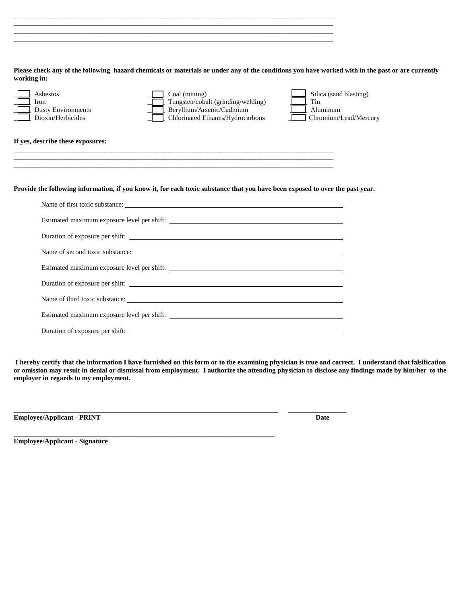**Please check any of the following hazard chemicals or materials or under any of the conditions you have worked with in the past or are currently working in:**

 $\Box$  $\Box$ 

 $\_$  ,  $\_$  ,  $\_$  ,  $\_$  ,  $\_$  ,  $\_$  ,  $\_$  ,  $\_$  ,  $\_$  ,  $\_$  ,  $\_$  ,  $\_$  ,  $\_$  ,  $\_$  ,  $\_$  ,  $\_$  ,  $\_$  ,  $\_$  ,  $\_$  ,  $\_$  ,  $\_$  ,  $\_$  ,  $\_$  ,  $\_$  ,  $\_$  ,  $\_$  ,  $\_$  ,  $\_$  ,  $\_$  ,  $\_$  ,  $\_$  ,  $\_$  ,  $\_$  ,  $\_$  ,  $\_$  ,  $\_$  ,  $\_$  ,

| Asbestos<br>Iron<br><b>Dusty Environments</b><br>Dioxin/Herbicides | Coal (mining)<br>Tungsten/cobalt (grinding/welding)<br>Beryllium/Arsenic/Cadmium<br>Chlorinated Ethanes/Hydrocarbons          | Silica (sand blasting)<br>Tin<br>Aluminum<br>Chromium/Lead/Mercury |
|--------------------------------------------------------------------|-------------------------------------------------------------------------------------------------------------------------------|--------------------------------------------------------------------|
| If yes, describe these exposures:                                  |                                                                                                                               |                                                                    |
|                                                                    | ,我们也不能会在这里,我们的人们就会在这里,我们也不会在这里,我们也不会在这里,我们也不会在这里,我们也不会在这里,我们也不会在这里,我们也不会在这里,我们也不                                              |                                                                    |
|                                                                    | Provide the following information, if you know it, for each toxic substance that you have been exposed to over the past year. |                                                                    |
|                                                                    | Name of first toxic substance:                                                                                                |                                                                    |
|                                                                    |                                                                                                                               |                                                                    |
|                                                                    |                                                                                                                               |                                                                    |
|                                                                    | Name of second toxic substance:<br>The matter of second toxic substance:                                                      |                                                                    |
|                                                                    |                                                                                                                               |                                                                    |
|                                                                    |                                                                                                                               |                                                                    |
|                                                                    | Name of third toxic substance:                                                                                                |                                                                    |
|                                                                    |                                                                                                                               |                                                                    |
|                                                                    |                                                                                                                               |                                                                    |

**I hereby certify that the information I have furnished on this form or to the examining physician is true and correct. I understand that falsification or omission may result in denial or dismissal from employment. I authorize the attending physician to disclose any findings made by him/her to the employer in regards to my employment.**

\_\_\_\_\_\_\_\_\_\_\_\_\_\_\_\_\_\_\_\_\_\_\_\_\_\_\_\_\_\_\_\_\_\_\_\_\_\_\_\_\_\_\_\_\_\_\_\_\_\_\_\_\_\_\_\_\_\_\_\_\_\_\_\_\_\_\_\_\_\_\_\_\_\_\_\_\_ \_\_\_\_\_\_\_\_\_\_\_\_\_\_\_\_\_

\_\_\_\_\_\_\_\_\_\_\_\_\_\_\_\_\_\_\_\_\_\_\_\_\_\_\_\_\_\_\_\_\_\_\_\_\_\_\_\_\_\_\_\_\_\_\_\_\_\_\_\_\_\_\_\_\_\_\_\_\_\_\_\_\_\_\_\_\_\_\_\_\_\_\_\_

**Employee/Applicant - PRINT Date**

**Employee/Applicant - Signature**